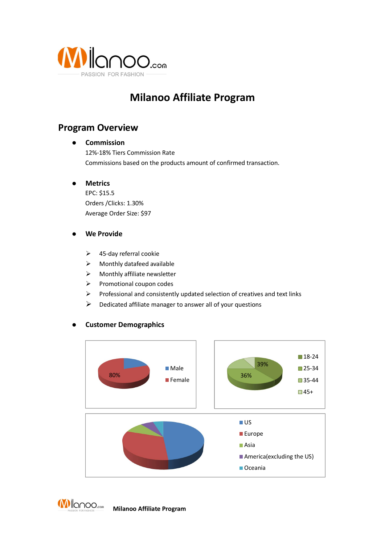

# **Milanoo Affiliate Program**

## **Program Overview**

### l**Commission**

12%-18% Tiers Commission Rate Commissions based on the products amount of confirmed transaction.

### $\bullet$ **Metrics**

EPC: \$15.5 Orders /Clicks: 1.30% Average Order Size: \$97

#### $\bullet$ **We Provide**

- $\geq$  45-day referral cookie
- $\triangleright$  Monthly datafeed available
- $\triangleright$  Monthly affiliate newsletter
- $\triangleright$  Promotional coupon codes
- $\triangleright$  Professional and consistently updated selection of creatives and text links
- $\triangleright$  Dedicated affiliate manager to answer all of your questions

### $\bullet$ **Customer Demographics**



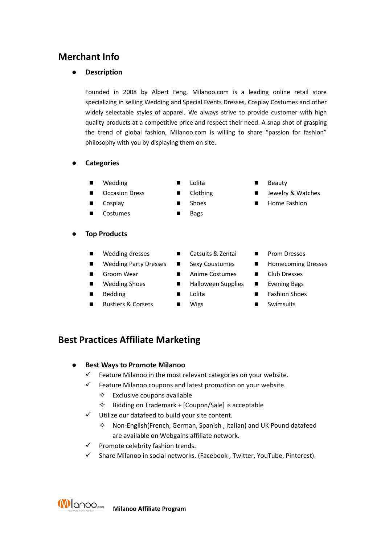# **Merchant Info**

### $\bullet$ **Description**

Founded in 2008 by Albert Feng, Milanoo.com is <sup>a</sup> leading online retail store specializing in selling Wedding and Special Events Dresses, Cosplay Costumes and other widely selectable styles of apparel. We always strive to provide customer with high quality products at acompetitive price and respect their need. A snap shot of grasping the trend of global fashion, Milanoo.com is willing to share "passion for fashion" philosophy with you by displaying them on site.

- $\bullet$  **Categories**
	- n
	- n
	- n
	- nCostumes **n** Bags
- $\bullet$  **Top Products**
	- n
	- n
	- n
	- n
	- n
	- nBustiers & Corsets  $\Box$  Wigs  $\Box$  Swimsuits
- 
- 
- 
- 
- Wedding dresses  $\Box$  Catsuits & Zentai  $\Box$  Prom Dresses
	-
- Groom Wear **n** Anime Costumes **n** Club Dresses
- Wedding Shoes **n** Halloween Supplies **n** Evening Bags
	-
	-
- 
- 
- Wedding Party Dresses  $\Box$  Sexy Coustumes  $\Box$  Homecoming Dresses
	-
	-
- Bedding **n Fashion Shoes n** Lolita **n Fashion Shoes** 
	-

### **Best Practices Affiliate Marketing**

- $\bullet$  **Best Ways to Promote Milanoo**
	- $\checkmark$ Feature Milanoo in the most relevant categories on your website.
	- $\checkmark$  Feature Milanoo coupons and latest promotion on your website.
		- $\diamondsuit$  Exclusive coupons available
		- $\Diamond$  Bidding on Trademark + [Coupon/Sale] is acceptable
- $\checkmark$  Utilize our datafeed to build your site content.
	- $\diamond$  Non-English(French, German, Spanish, Italian) and UK Pound datafeed are available on Webgains affiliate network.
- $\checkmark$  Promote celebrity fashion trends.
- ¸ Share Milanoo in social networks. (Facebook , Twitter, YouTube, Pinterest).

**MI**lanoo.... **Milanoo Affiliate Program**

- 
- 
- 
- Wedding  $\Box$  Lolita  $\Box$  Beauty
- Occasion Dress Clothing Jewelry & Watches
- Cosplay Shoes Shoes Home Fashion